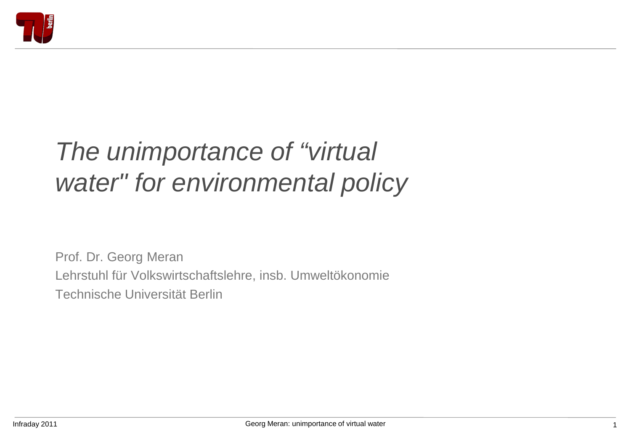

# *The unimportance of "virtual water" for environmental policy*

Prof. Dr. Georg Meran Lehrstuhl für Volkswirtschaftslehre, insb. Umweltökonomie Technische Universität Berlin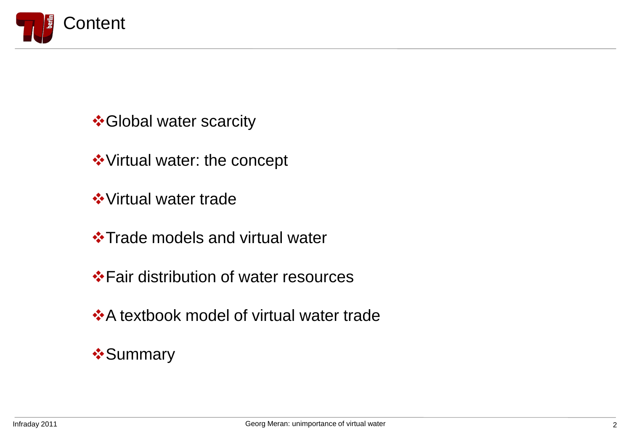

 **Global water scarcity** 

Virtual water: the concept

**❖ Virtual water trade** 

**\*Trade models and virtual water** 

**\*** Fair distribution of water resources

**A** textbook model of virtual water trade

**❖ Summary**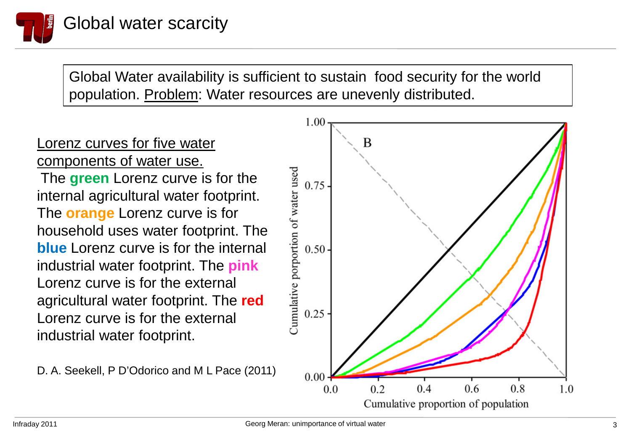

Global Water availability is sufficient to sustain food security for the world population. Problem: Water resources are unevenly distributed.

#### Lorenz curves for five water components of water use.

The **green** Lorenz curve is for the internal agricultural water footprint. The **orange** Lorenz curve is for household uses water footprint. The **blue** Lorenz curve is for the internal industrial water footprint. The **pink** Lorenz curve is for the external agricultural water footprint. The **red** Lorenz curve is for the external industrial water footprint.

D. A. Seekell, P D'Odorico and M L Pace (2011)

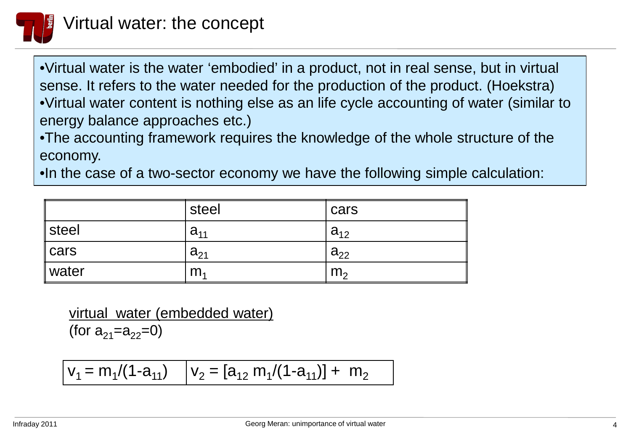

•Virtual water is the water 'embodied' in a product, not in real sense, but in virtual sense. It refers to the water needed for the production of the product. (Hoekstra) •Virtual water content is nothing else as an life cycle accounting of water (similar to energy balance approaches etc.)

•The accounting framework requires the knowledge of the whole structure of the economy.

•In the case of a two-sector economy we have the following simple calculation:

|                   | steel          | cars           |
|-------------------|----------------|----------------|
| $\parallel$ steel | $a_{11}$       | $a_{12}$       |
| $  \text{cars}$   | $a_{21}$       | $a_{22}$       |
| ∥water            | m <sub>4</sub> | m <sub>2</sub> |

virtual water (embedded water) (for  $a_{21}=a_{22}=0$ )

$$
v_1 = m_1/(1-a_{11}) \qquad v_2 = [a_{12} \; m_1/(1-a_{11})] + m_2
$$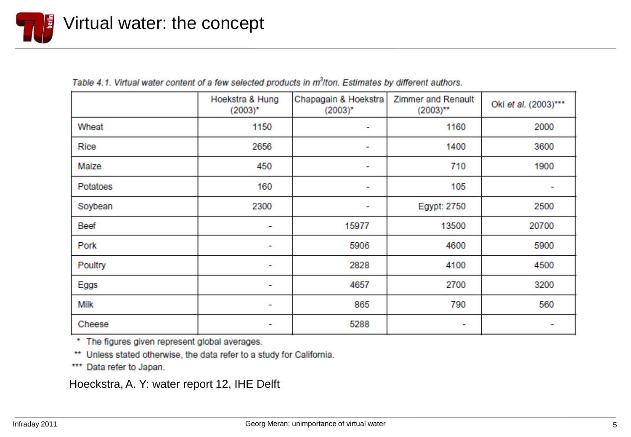

|             | Hoekstra & Hung<br>$(2003)^*$ | Chapagain & Hoekstra<br>$(2003)^*$ | <b>Zimmer and Renault</b><br>$(2003)$ ** | Oki et al. (2003)*** |
|-------------|-------------------------------|------------------------------------|------------------------------------------|----------------------|
| Wheat       | 1150                          | ٠                                  | 1160                                     | 2000                 |
| Rice        | 2656                          | ٠                                  | 1400                                     | 3600                 |
| Maize       | 450                           | ٠                                  | 710                                      | 1900                 |
| Potatoes    | 160                           | ٠                                  | 105                                      | ٠                    |
| Soybean     | 2300                          | ۰                                  | Egypt: 2750                              | 2500                 |
| Beef        | $\overline{\phantom{a}}$      | 15977                              | 13500                                    | 20700                |
| Pork        | ۰                             | 5906                               | 4600                                     | 5900                 |
| Poultry     | $\overline{\phantom{a}}$      | 2828                               | 4100                                     | 4500                 |
| Eggs        | $\overline{\phantom{a}}$      | 4657                               | 2700                                     | 3200                 |
| <b>Milk</b> | ۰                             | 865                                | 790                                      | 560                  |
| Cheese      | ٠                             | 5288                               | ٠                                        | ٠                    |

| Table 4.1. Virtual water content of a few selected products in m <sup>3</sup> /ton. Estimates by different authors. |  |  |  |
|---------------------------------------------------------------------------------------------------------------------|--|--|--|
|                                                                                                                     |  |  |  |

\* The figures given represent global averages.

\*\* Unless stated otherwise, the data refer to a study for California.

\*\*\* Data refer to Japan.

Hoeckstra, A. Y: water report 12, IHE Delft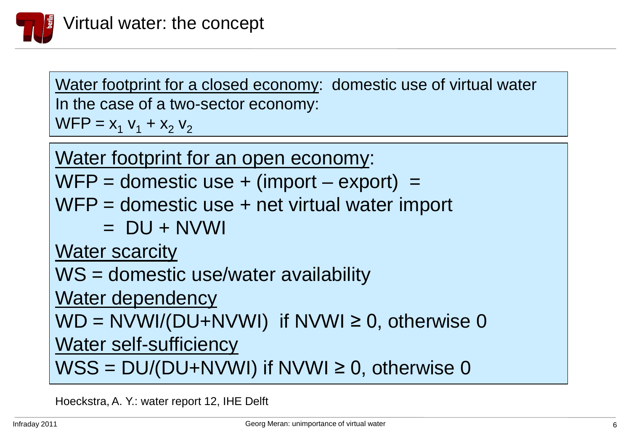

Water footprint for a closed economy: domestic use of virtual water In the case of a two-sector economy:  $WFP = X_1 V_1 + X_2 V_2$ 

Water footprint for an open economy:

 $WFP =$  domestic use  $+$  (import  $-$  export) =

- WFP = domestic use + net virtual water import
	- $=$  DU + NVWI

Water scarcity

WS = domestic use/water availability

Water dependency

 $WD = NVM/(DU+NVM)$  if NVWI  $\geq 0$ , otherwise 0

Water self-sufficiency

 $WSS = DU/(DU+NVWI)$  if NVWI  $\geq 0$ , otherwise 0

Hoeckstra, A. Y.: water report 12, IHE Delft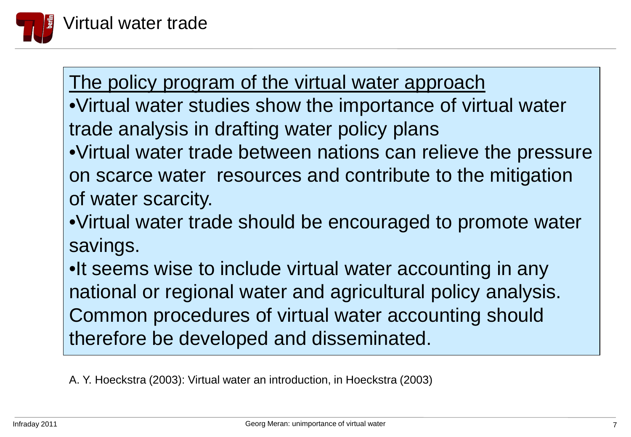

The policy program of the virtual water approach

•Virtual water studies show the importance of virtual water trade analysis in drafting water policy plans

•Virtual water trade between nations can relieve the pressure on scarce water resources and contribute to the mitigation of water scarcity.

•Virtual water trade should be encouraged to promote water savings.

•It seems wise to include virtual water accounting in any national or regional water and agricultural policy analysis. Common procedures of virtual water accounting should therefore be developed and disseminated.

A. Y. Hoeckstra (2003): Virtual water an introduction, in Hoeckstra (2003)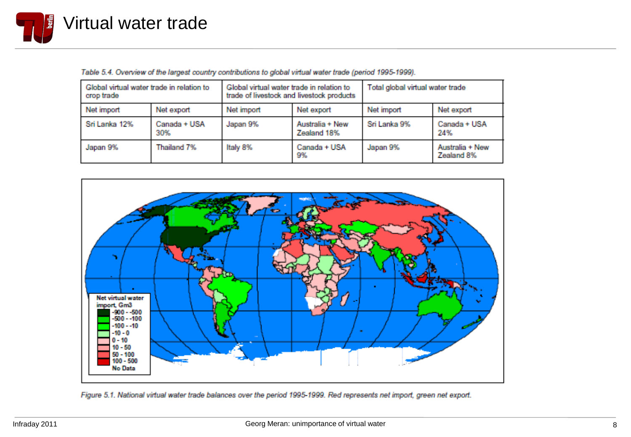

Table 5.4. Overview of the largest country contributions to global virtual water trade (period 1995-1999).

| Global virtual water trade in relation to<br>crop trade |                     | Global virtual water trade in relation to<br>trade of livestock and livestock products |                                | Total global virtual water trade |                               |
|---------------------------------------------------------|---------------------|----------------------------------------------------------------------------------------|--------------------------------|----------------------------------|-------------------------------|
| Net import                                              | Net export          | Net import                                                                             | Net export                     | Net import                       | Net export                    |
| Sri Lanka 12%                                           | Canada + USA<br>30% | Japan 9%                                                                               | Australia + New<br>Zealand 18% | Sri Lanka 9%                     | Canada + USA<br>24%           |
| Japan 9%                                                | Thailand 7%         | Italy 8%                                                                               | Canada + USA<br>9%             | Japan 9%                         | Australia + New<br>Zealand 8% |



Figure 5.1. National virtual water trade balances over the period 1995-1999. Red represents net import, green net export.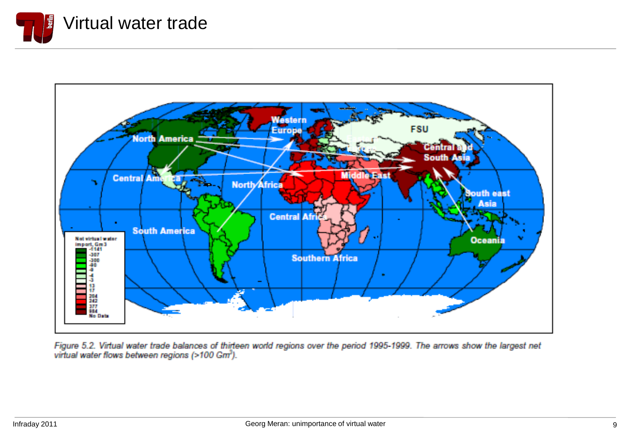



Figure 5.2. Virtual water trade balances of thirteen world regions over the period 1995-1999. The arrows show the largest net<br>virtual water flows between regions (>100 Gm<sup>3</sup>).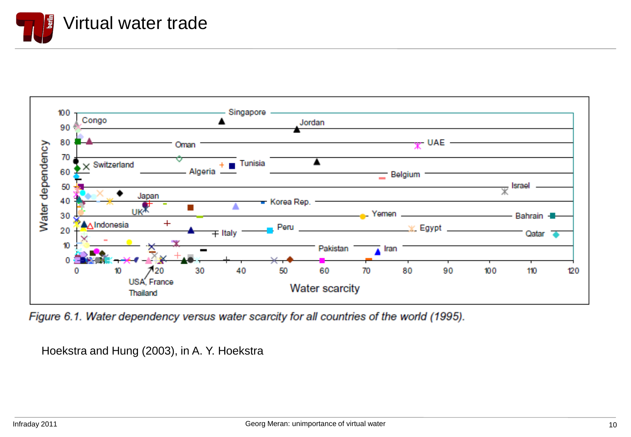



Figure 6.1. Water dependency versus water scarcity for all countries of the world (1995).

Hoekstra and Hung (2003), in A. Y. Hoekstra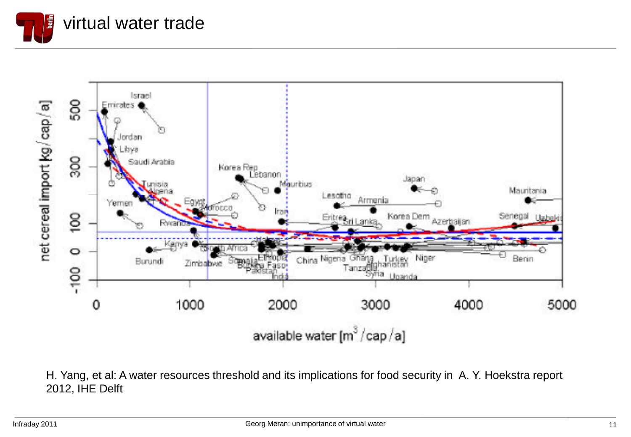



H. Yang, et al: A water resources threshold and its implications for food security in A. Y. Hoekstra report 2012, IHE Delft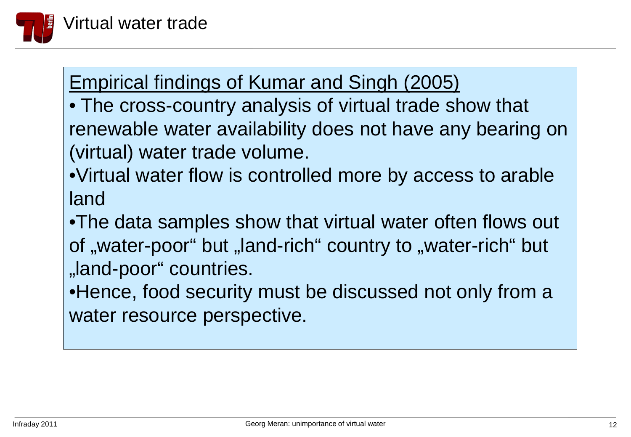

# Empirical findings of Kumar and Singh (2005)

- The cross-country analysis of virtual trade show that renewable water availability does not have any bearing on (virtual) water trade volume.
- •Virtual water flow is controlled more by access to arable land
- •The data samples show that virtual water often flows out of "water-poor" but "land-rich" country to "water-rich" but "land-poor" countries.
- •Hence, food security must be discussed not only from a water resource perspective.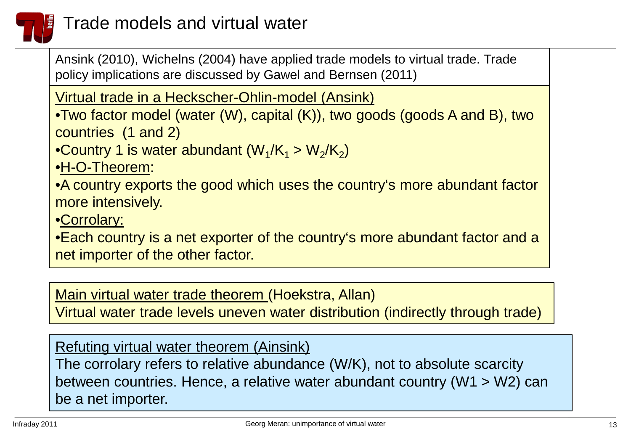

### Trade models and virtual water

Ansink (2010), Wichelns (2004) have applied trade models to virtual trade. Trade policy implications are discussed by Gawel and Bernsen (2011)

Virtual trade in a Heckscher-Ohlin-model (Ansink)

•Two factor model (water (W), capital (K)), two goods (goods A and B), two countries (1 and 2)

•Country 1 is water abundant  $(W_1/K_1 > W_2/K_2)$ 

•H-O-Theorem:

•A country exports the good which uses the country's more abundant factor more intensively.

•Corrolary:

•Each country is a net exporter of the country's more abundant factor and a net importer of the other factor.

Main virtual water trade theorem (Hoekstra, Allan)

Virtual water trade levels uneven water distribution (indirectly through trade)

Refuting virtual water theorem (Ainsink)

The corrolary refers to relative abundance (W/K), not to absolute scarcity between countries. Hence, a relative water abundant country (W1 > W2) can be a net importer.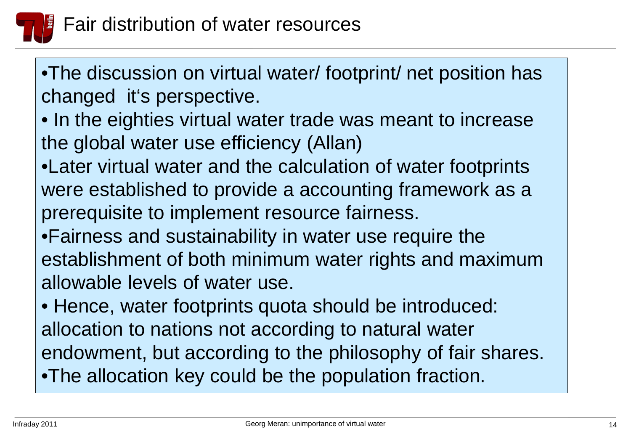

•The discussion on virtual water/ footprint/ net position has changed it's perspective.

- In the eighties virtual water trade was meant to increase the global water use efficiency (Allan)
- $\sim$ •Later virtual water and the calculation of water footprints were established to provide a accounting framework as a prerequisite to implement resource fairness.
- •Fairness and sustainability in water use require the establishment of both minimum water rights and maximum allowable levels of water use.
- Hence, water footprints quota should be introduced: allocation to nations not according to natural water endowment, but according to the philosophy of fair shares. •The allocation key could be the population fraction.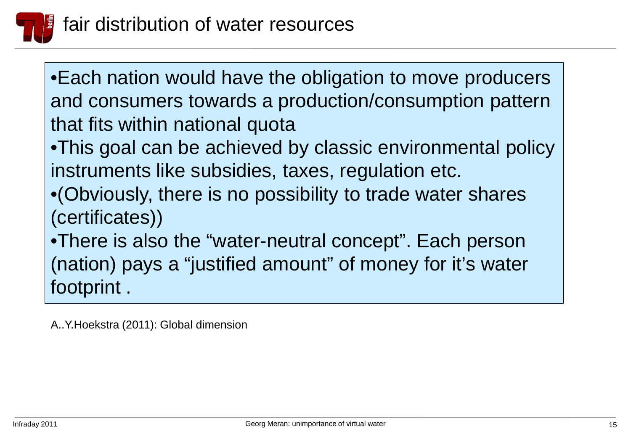

•Each nation would have the obligation to move producers and consumers towards a production/consumption pattern that fits within national quota

<sup>211</sup> •This goal can be achieved by classic environmental policy instruments like subsidies, taxes, regulation etc.

•(Obviously, there is no possibility to trade water shares (certificates))

•There is also the "water-neutral concept". Each person (nation) pays a "justified amount" of money for it's water footprint .

A..Y.Hoekstra (2011): Global dimension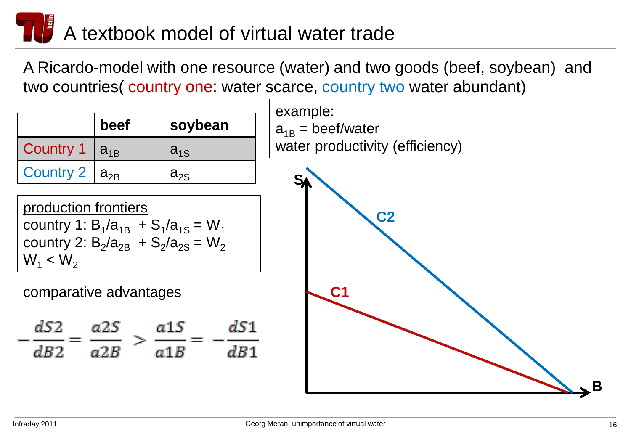# A textbook model of virtual water trade

A Ricardo-model with one resource (water) and two goods (beef, soybean) and two countries( country one: water scarce, country two water abundant)

|                      | beef | soybean                    |
|----------------------|------|----------------------------|
| Country 1 $ a_{1B} $ |      | $a_{1S}$                   |
| Country $2   a_{2B}$ |      | $\mathsf{a}_{2\mathsf{S}}$ |

production frontiers country 1:  $B_1/a_{1B}$  +  $S_1/a_{1S}$  = W<sub>1</sub> country 2:  $B_2/a_{2B}$  +  $S_2/a_{2S}$  =  $W_2$  $W_1 < W_2$ 

#### comparative advantages **C1**



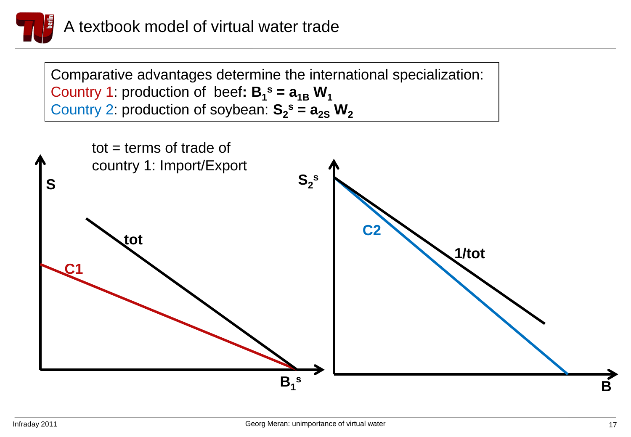

Comparative advantages determine the international specialization: Country 1: production of beef:  $B_1^s = a_{1B} W_1$ Country 2: production of soybean:  $S_2^s = a_{2s} W_2$ 

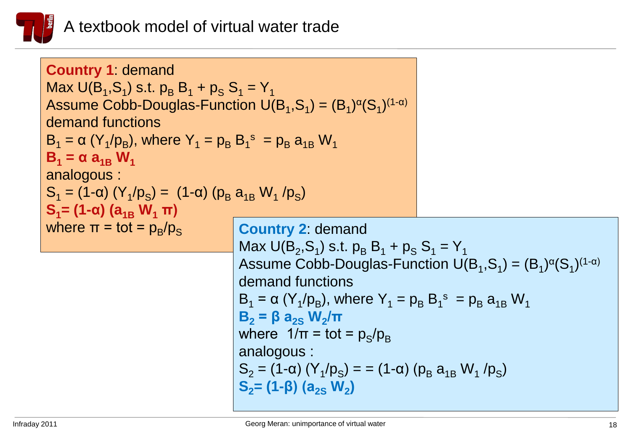

| <b>Country 1 demand</b><br>Max $U(B_1, S_1)$ s.t. $p_B B_1 + p_S S_1 = Y_1$<br>Assume Cobb-Douglas-Function $U(B_1, S_1) = (B_1)^{\alpha}(S_1)^{(1-\alpha)}$<br>demand functions<br>$B_1 = \alpha (Y_1/p_B)$ , where $Y_1 = p_B B_1^s = p_B a_{1B} W_1$<br>$B_1 = \alpha a_{1R} W_1$<br>analogous :<br>$S_1 = (1-\alpha) (Y_1/p_S) = (1-\alpha) (p_B a_{1B} W_1/p_S)$<br>$S_1 = (1 - \alpha) (a_{1R} W_1 \pi)$ |                                                                              |                                                                               |
|----------------------------------------------------------------------------------------------------------------------------------------------------------------------------------------------------------------------------------------------------------------------------------------------------------------------------------------------------------------------------------------------------------------|------------------------------------------------------------------------------|-------------------------------------------------------------------------------|
| where $\pi = \text{tot} = p_{B}/p_{S}$                                                                                                                                                                                                                                                                                                                                                                         | <b>Country 2: demand</b><br>Max $U(B_2, S_1)$ s.t. $p_B B_1 + p_S S_1 = Y_1$ |                                                                               |
| demand functions<br>$B_1 = \alpha (Y_1/p_B)$ , where $Y_1 = p_B B_1^s = p_B a_{1B} W_1$<br>$B_2 = \beta a_{2S} W_2 / π$<br>where $1/\pi = \text{tot} = p_{\text{S}}/p_{\text{B}}$<br>analogous :<br>$S_2 = (1-\alpha) (Y_1/p_S) = (1-\alpha) (p_B a_{1B} W_1/p_S)$<br>$S_2 = (1-\beta) (a_{2S} W_2)$                                                                                                           |                                                                              | Assume Cobb-Douglas-Function $U(B_1, S_1) = (B_1)^{\alpha}(S_1)^{(1-\alpha)}$ |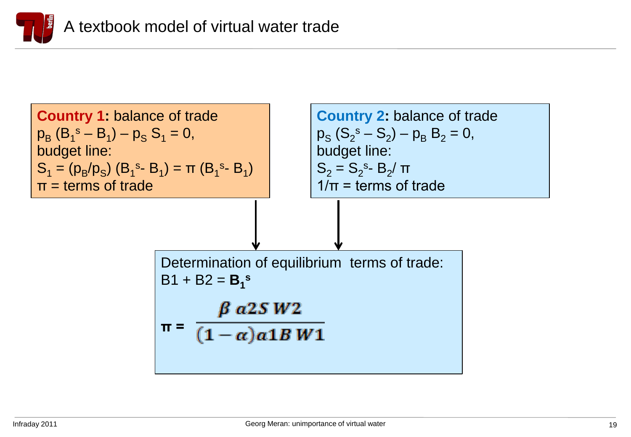

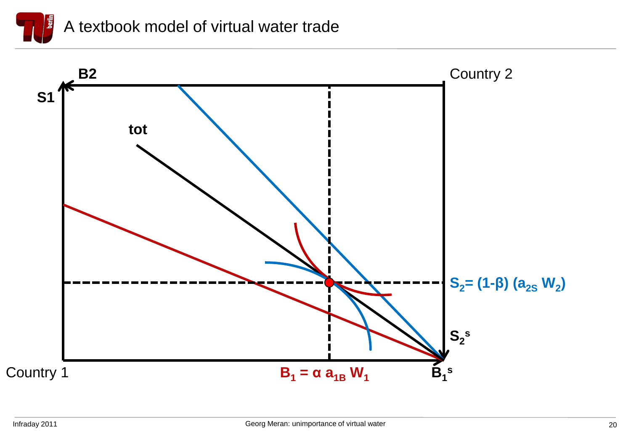

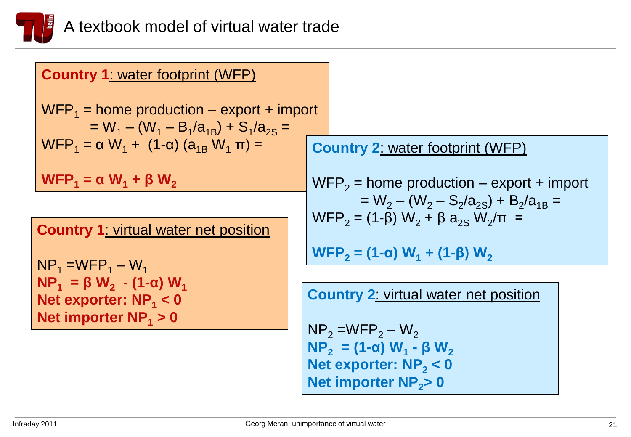

| <b>Country 1: water footprint (WFP)</b>                                                    |                                                                                                 |
|--------------------------------------------------------------------------------------------|-------------------------------------------------------------------------------------------------|
| $WFP_1$ = home production – export + import<br>$= W_1 - (W_1 - B_1/a_{1R}) + S_1/a_{2S} =$ |                                                                                                 |
| WFP <sub>1</sub> = α W <sub>1</sub> + (1-α) (a <sub>1B</sub> W <sub>1</sub> π) =           | <b>Country 2: water footprint (WFP)</b>                                                         |
| $WFP_1 = \alpha W_1 + \beta W_2$                                                           | $WFP2$ = home production – export + import                                                      |
|                                                                                            | $= W_2 - (W_2 - S_2/a_{2S}) + B_2/a_{1B} =$<br>$WFP_2 = (1-\beta) W_2 + \beta a_{2S} W_2/\pi =$ |
| <b>Country 1: virtual water net position</b>                                               |                                                                                                 |
| $NP_1 = WFP_1 - W_1$                                                                       | WFP <sub>2</sub> = (1-α) W <sub>1</sub> + (1-β) W <sub>2</sub>                                  |
| $NP_1 = \beta W_2 - (1-\alpha) W_1$                                                        |                                                                                                 |
| Net exporter: $NP_1 < 0$                                                                   | <b>Country 2: virtual water net position</b>                                                    |
| Net importer $NP_1 > 0$                                                                    | $NP2 = WFP2 - W2$                                                                               |
|                                                                                            | $NP_2 = (1-\alpha) W_1 - \beta W_2$                                                             |
|                                                                                            |                                                                                                 |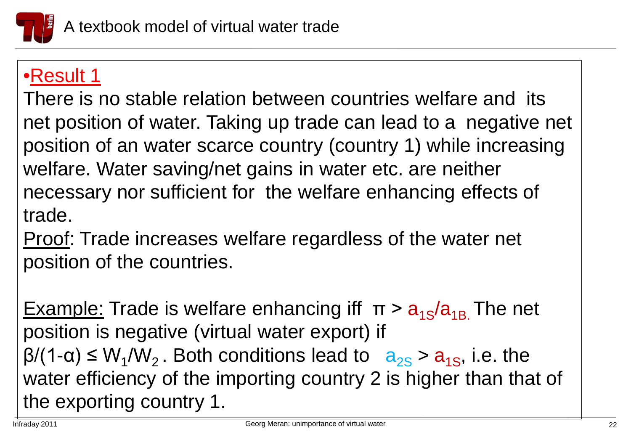

## •Result 1

-<br>20 There is no stable relation between countries welfare and its net position of water. Taking up trade can lead to a negative net position of an water scarce country (country 1) while increasing welfare. Water saving/net gains in water etc. are neither necessary nor sufficient for the welfare enhancing effects of trade.

Proof: Trade increases welfare regardless of the water net position of the countries.

Example: Trade is welfare enhancing iff  $\pi > a_{1S}/a_{1B}$ . The net position is negative (virtual water export) if  $\beta$ /(1- $\alpha$ )  $\leq$  W<sub>1</sub>/W<sub>2</sub>. Both conditions lead to  $a_{2s} > a_{1s}$ , i.e. the water efficiency of the importing country 2 is higher than that of the exporting country 1.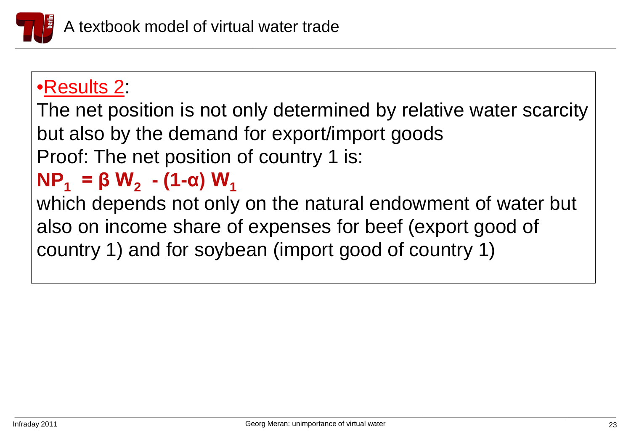

## •Results 2:

The net position is not only determined by relative water scarcity but also by the demand for export/import goods Proof: The net position of country 1 is:

# $NP_1$  **= β W<sub>2</sub> - (1-α) W<sub>1</sub>**

which depends not only on the natural endowment of water but also on income share of expenses for beef (export good of country 1) and for soybean (import good of country 1)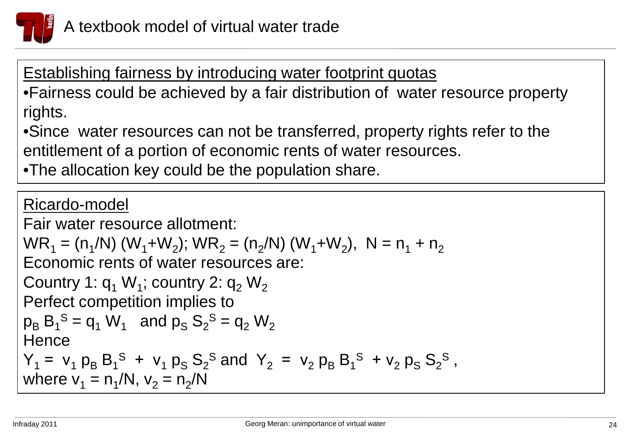

Establishing fairness by introducing water footprint quotas •Fairness could be achieved by a fair distribution of water resource property rights.

•Since water resources can not be transferred, property rights refer to the entitlement of a portion of economic rents of water resources.

•The allocation key could be the population share.

Ricardo-model Fair water resource allotment:  $WR_1 = (n_1/N) (W_1 + W_2)$ ;  $WR_2 = (n_2/N) (W_1 + W_2)$ ,  $N = n_1 + n_2$ Economic rents of water resources are: Country 1:  $q_1 W_1$ ; country 2:  $q_2 W_2$ Perfect competition implies to  $p_B B_1^S = q_1 W_1$  and  $p_S S_2^S = q_2 W_2$ **Hence**  $Y_1 = v_1 p_B B_1^S + v_1 p_S S_2^S$  and  $Y_2 = v_2 p_B B_1^S + v_2 p_S S_2^S$ , where  $v_1 = n_1/N$ ,  $v_2 = n_2/N$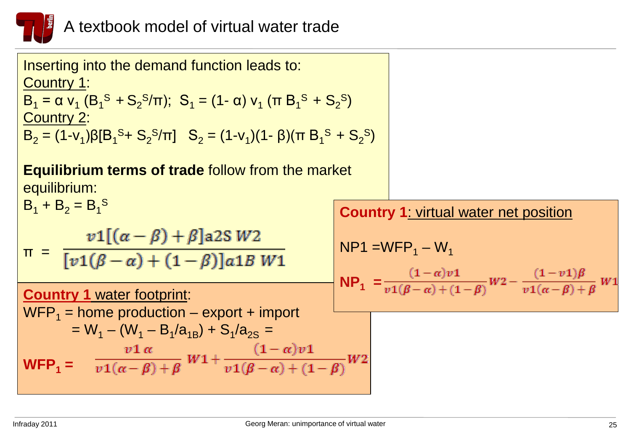

| Inserting into the demand function leads to:<br>Country 1:<br>$B_1 = \alpha v_1 (B_1^S + S_2^S / \pi); S_1 = (1 - \alpha) v_1 (\pi B_1^S + S_2^S)$<br>Country 2:<br>$B_2 = (1-v_1)\beta[B_1^S + S_2^S/\pi]$ $S_2 = (1-v_1)(1-\beta)(\pi B_1^S + S_2^S)$ |  |                                                                                                                                      |
|---------------------------------------------------------------------------------------------------------------------------------------------------------------------------------------------------------------------------------------------------------|--|--------------------------------------------------------------------------------------------------------------------------------------|
| <b>Equilibrium terms of trade follow from the market</b><br>equilibrium:                                                                                                                                                                                |  |                                                                                                                                      |
| $B_1 + B_2 = B_1^S$                                                                                                                                                                                                                                     |  | <b>Country 1: virtual water net position</b>                                                                                         |
| $π = \frac{v1[(α - β) + β]a2S}{[v1(β - α) + (1 - β)]a1B W1}$                                                                                                                                                                                            |  | $NP1 = WFP1 - W1$<br>$NP_1 = \frac{(1-\alpha)v_1}{v_1(\beta-\alpha)+(1-\beta)}W_2 - \frac{(1-v_1)\beta}{v_1(\alpha-\beta)+\beta}W_1$ |
| <b>Country 1 water footprint:</b>                                                                                                                                                                                                                       |  |                                                                                                                                      |
| $WFP_1$ = home production – export + import<br>$= W_1 - (W_1 - B_1/a_{1B}) + S_1/a_{2S} =$                                                                                                                                                              |  |                                                                                                                                      |
| WFP <sub>1</sub> = $\frac{v1\alpha}{v1(\alpha-\beta)+\beta}W1+\frac{(1-\alpha)v1}{v1(\beta-\alpha)+(1-\beta)}W2$                                                                                                                                        |  |                                                                                                                                      |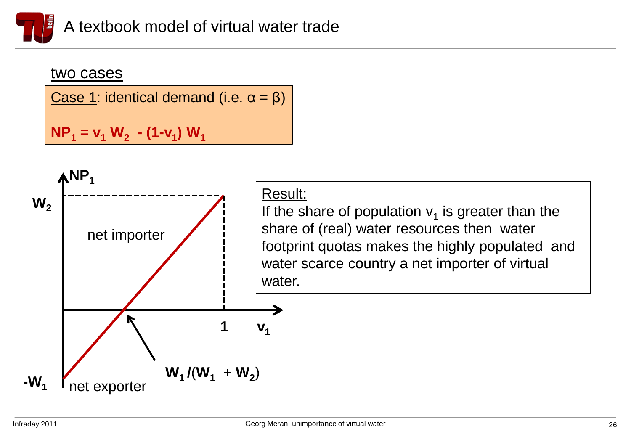

#### two cases

Case 1: identical demand (i.e.  $\alpha = \beta$ )

 $NP_1 = v_1 W_2 - (1-v_1) W_1$ 

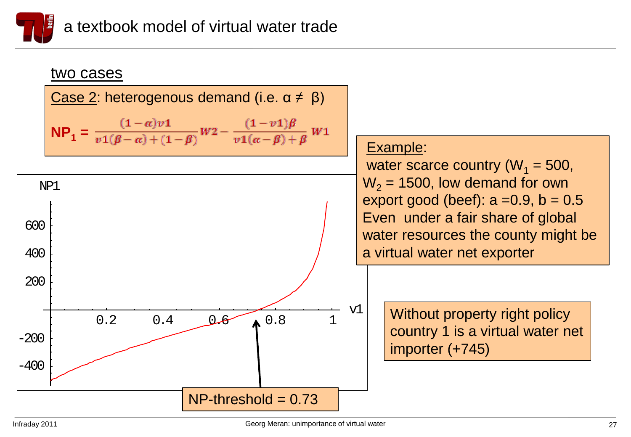

#### יי<br>2011 two cases Case 2: heterogenous demand (i.e.  $\alpha \neq \beta$ )  $\mathsf{NP}_1 = \frac{(1-\alpha)v}{v1(\beta-\alpha)+(1-\beta)}W2 - \frac{(1-v1)\beta}{v1(\alpha-\beta)+\beta}W1$  $0.2$   $0.4$   $0.6$   $0.8$  1 v1 -400 -200 200 400 600 NP1  $NP-threshold = 0.73$ Example: water scarce country ( $W_1$  = 500,  $W_2$  = 1500, low demand for own export good (beef):  $a = 0.9$ ,  $b = 0.5$ Even under a fair share of global water resources the county might be a virtual water net exporter Without property right policy country 1 is a virtual water net importer (+745)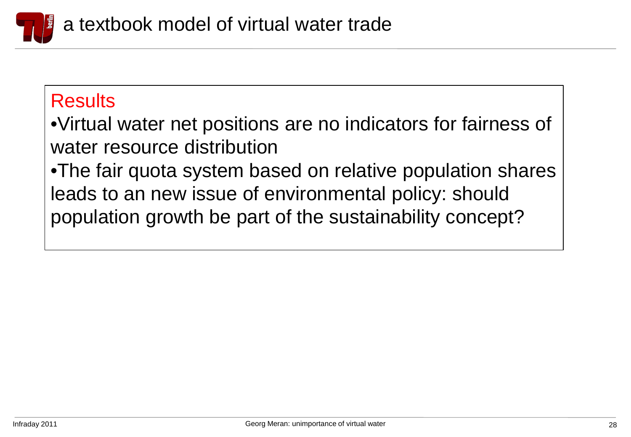

### **Results**

•Virtual water net positions are no indicators for fairness of water resource distribution

•The fair quota system based on relative population shares leads to an new issue of environmental policy: should population growth be part of the sustainability concept?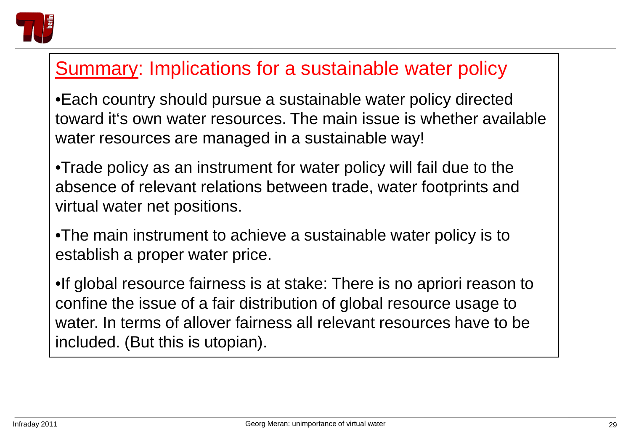

## Summary: Implications for a sustainable water policy

•Each country should pursue a sustainable water policy directed toward it's own water resources. The main issue is whether available water resources are managed in a sustainable way!

•Trade policy as an instrument for water policy will fail due to the absence of relevant relations between trade, water footprints and virtual water net positions.

•The main instrument to achieve a sustainable water policy is to establish a proper water price.

•If global resource fairness is at stake: There is no apriori reason to confine the issue of a fair distribution of global resource usage to water. In terms of allover fairness all relevant resources have to be included. (But this is utopian).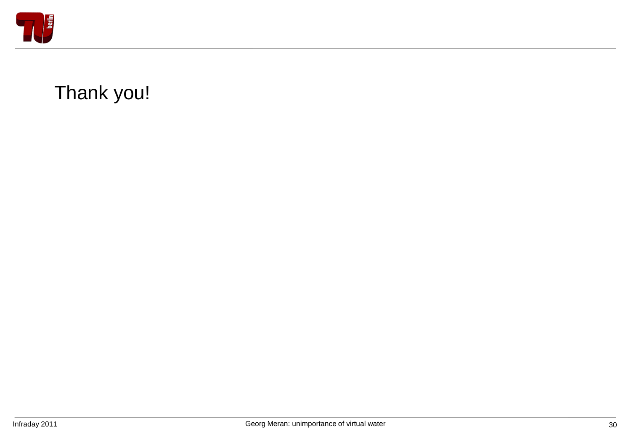

# Thank you!